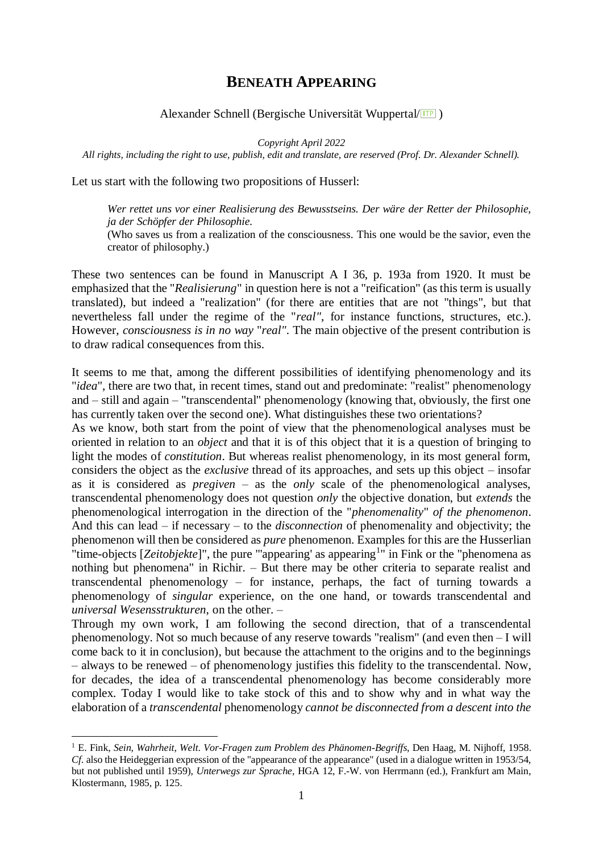## **BENEATH APPEARING**

## Alexander Schnell (Bergische Universität Wuppertal/<sup>[17]</sup>)

*Copyright April 2022* 

*All rights, including the right to use, publish, edit and translate, are reserved (Prof. Dr. Alexander Schnell).*

Let us start with the following two propositions of Husserl:

*Wer rettet uns vor einer Realisierung des Bewusstseins. Der wäre der Retter der Philosophie, ja der Schöpfer der Philosophie.* 

(Who saves us from a realization of the consciousness. This one would be the savior, even the creator of philosophy.)

These two sentences can be found in Manuscript A I 36, p. 193a from 1920. It must be emphasized that the "*Realisierung*" in question here is not a "reification" (as this term is usually translated), but indeed a "realization" (for there are entities that are not "things", but that nevertheless fall under the regime of the "*real"*, for instance functions, structures, etc.). However, *consciousness is in no way* "*real"*. The main objective of the present contribution is to draw radical consequences from this.

It seems to me that, among the different possibilities of identifying phenomenology and its "*idea*", there are two that, in recent times, stand out and predominate: "realist" phenomenology and – still and again – "transcendental" phenomenology (knowing that, obviously, the first one has currently taken over the second one). What distinguishes these two orientations?

As we know, both start from the point of view that the phenomenological analyses must be oriented in relation to an *object* and that it is of this object that it is a question of bringing to light the modes of *constitution*. But whereas realist phenomenology, in its most general form, considers the object as the *exclusive* thread of its approaches, and sets up this object – insofar as it is considered as *pregiven* – as the *only* scale of the phenomenological analyses, transcendental phenomenology does not question *only* the objective donation, but *extends* the phenomenological interrogation in the direction of the "*phenomenality*" *of the phenomenon*. And this can lead – if necessary – to the *disconnection* of phenomenality and objectivity; the phenomenon will then be considered as *pure* phenomenon. Examples for this are the Husserlian "time-objects [Zeitobjekte]", the pure "'appearing' as appearing<sup>1</sup>" in Fink or the "phenomena as nothing but phenomena" in Richir. – But there may be other criteria to separate realist and transcendental phenomenology – for instance, perhaps, the fact of turning towards a phenomenology of *singular* experience, on the one hand, or towards transcendental and *universal Wesensstrukturen*, on the other. –

Through my own work, I am following the second direction, that of a transcendental phenomenology. Not so much because of any reserve towards "realism" (and even then – I will come back to it in conclusion), but because the attachment to the origins and to the beginnings – always to be renewed – of phenomenology justifies this fidelity to the transcendental. Now, for decades, the idea of a transcendental phenomenology has become considerably more complex. Today I would like to take stock of this and to show why and in what way the elaboration of a *transcendental* phenomenology *cannot be disconnected from a descent into the* 

<sup>1</sup> E. Fink, *Sein*, *Wahrheit*, *Welt*. *Vor-Fragen zum Problem des Phänomen-Begriffs*, Den Haag, M. Nijhoff, 1958. *Cf.* also the Heideggerian expression of the "appearance of the appearance" (used in a dialogue written in 1953/54, but not published until 1959), *Unterwegs zur Sprache*, HGA 12, F.-W. von Herrmann (ed.), Frankfurt am Main, Klostermann, 1985, p. 125.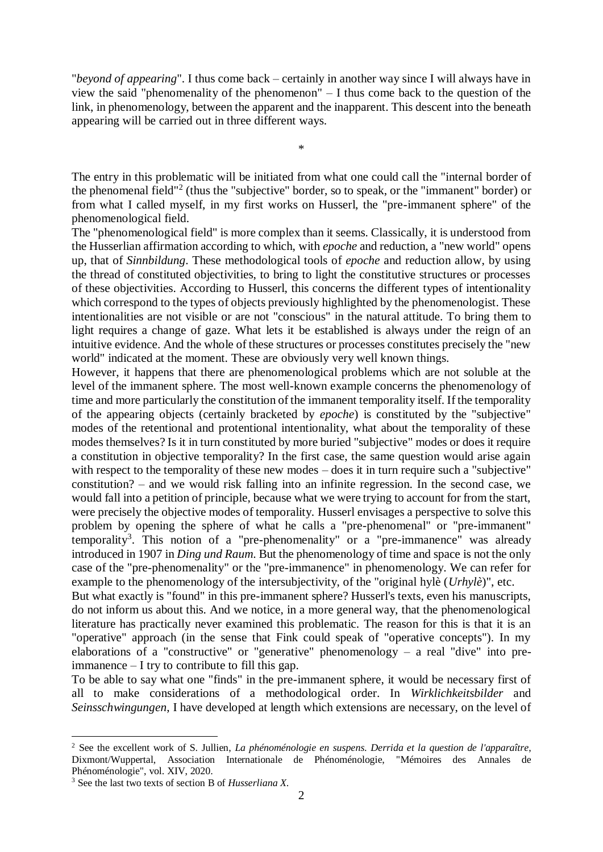"*beyond of appearing*". I thus come back – certainly in another way since I will always have in view the said "phenomenality of the phenomenon" – I thus come back to the question of the link, in phenomenology, between the apparent and the inapparent. This descent into the beneath appearing will be carried out in three different ways.

\*

The entry in this problematic will be initiated from what one could call the "internal border of the phenomenal field"<sup>2</sup> (thus the "subjective" border, so to speak, or the "immanent" border) or from what I called myself, in my first works on Husserl, the "pre-immanent sphere" of the phenomenological field.

The "phenomenological field" is more complex than it seems. Classically, it is understood from the Husserlian affirmation according to which, with *epoche* and reduction, a "new world" opens up, that of *Sinnbildung*. These methodological tools of *epoche* and reduction allow, by using the thread of constituted objectivities, to bring to light the constitutive structures or processes of these objectivities. According to Husserl, this concerns the different types of intentionality which correspond to the types of objects previously highlighted by the phenomenologist. These intentionalities are not visible or are not "conscious" in the natural attitude. To bring them to light requires a change of gaze. What lets it be established is always under the reign of an intuitive evidence. And the whole of these structures or processes constitutes precisely the "new world" indicated at the moment. These are obviously very well known things.

However, it happens that there are phenomenological problems which are not soluble at the level of the immanent sphere. The most well-known example concerns the phenomenology of time and more particularly the constitution of the immanent temporality itself. If the temporality of the appearing objects (certainly bracketed by *epoche*) is constituted by the "subjective" modes of the retentional and protentional intentionality, what about the temporality of these modes themselves? Is it in turn constituted by more buried "subjective" modes or does it require a constitution in objective temporality? In the first case, the same question would arise again with respect to the temporality of these new modes – does it in turn require such a "subjective" constitution? – and we would risk falling into an infinite regression. In the second case, we would fall into a petition of principle, because what we were trying to account for from the start, were precisely the objective modes of temporality. Husserl envisages a perspective to solve this problem by opening the sphere of what he calls a "pre-phenomenal" or "pre-immanent" temporality<sup>3</sup>. This notion of a "pre-phenomenality" or a "pre-immanence" was already introduced in 1907 in *Ding und Raum*. But the phenomenology of time and space is not the only case of the "pre-phenomenality" or the "pre-immanence" in phenomenology. We can refer for example to the phenomenology of the intersubjectivity, of the "original hylè (*Urhylè*)", etc.

But what exactly is "found" in this pre-immanent sphere? Husserl's texts, even his manuscripts, do not inform us about this. And we notice, in a more general way, that the phenomenological literature has practically never examined this problematic. The reason for this is that it is an "operative" approach (in the sense that Fink could speak of "operative concepts"). In my elaborations of a "constructive" or "generative" phenomenology – a real "dive" into preimmanence – I try to contribute to fill this gap.

To be able to say what one "finds" in the pre-immanent sphere, it would be necessary first of all to make considerations of a methodological order. In *Wirklichkeitsbilder* and *Seinsschwingungen*, I have developed at length which extensions are necessary, on the level of

<sup>2</sup> See the excellent work of S. Jullien, *La phénoménologie en suspens*. *Derrida et la question de l'apparaître*, Dixmont/Wuppertal, Association Internationale de Phénoménologie, "Mémoires des Annales de Phénoménologie", vol. XIV, 2020.

<sup>3</sup> See the last two texts of section B of *Husserliana X*.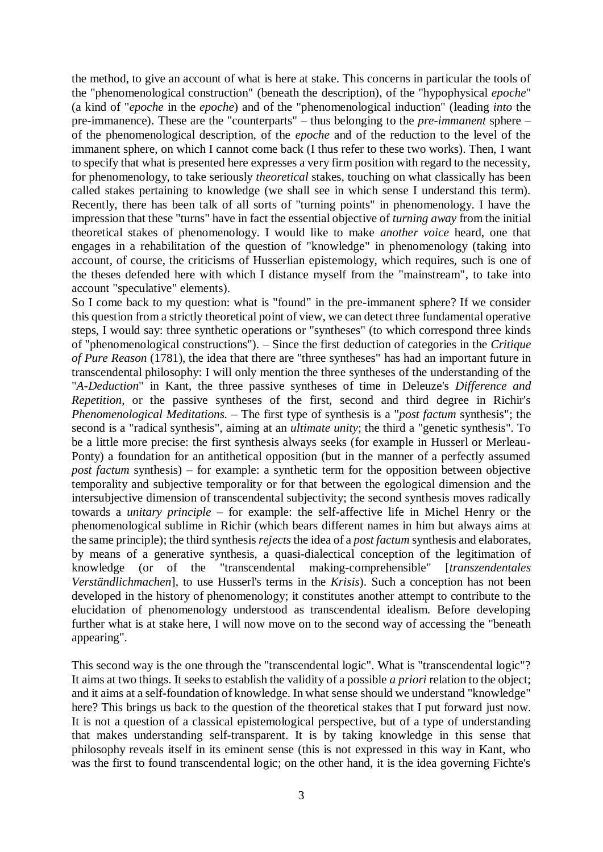the method, to give an account of what is here at stake. This concerns in particular the tools of the "phenomenological construction" (beneath the description), of the "hypophysical *epoche*" (a kind of "*epoche* in the *epoche*) and of the "phenomenological induction" (leading *into* the pre-immanence). These are the "counterparts" – thus belonging to the *pre-immanent* sphere – of the phenomenological description, of the *epoche* and of the reduction to the level of the immanent sphere, on which I cannot come back (I thus refer to these two works). Then, I want to specify that what is presented here expresses a very firm position with regard to the necessity, for phenomenology, to take seriously *theoretical* stakes, touching on what classically has been called stakes pertaining to knowledge (we shall see in which sense I understand this term). Recently, there has been talk of all sorts of "turning points" in phenomenology. I have the impression that these "turns" have in fact the essential objective of *turning away* from the initial theoretical stakes of phenomenology. I would like to make *another voice* heard, one that engages in a rehabilitation of the question of "knowledge" in phenomenology (taking into account, of course, the criticisms of Husserlian epistemology, which requires, such is one of the theses defended here with which I distance myself from the "mainstream", to take into account "speculative" elements).

So I come back to my question: what is "found" in the pre-immanent sphere? If we consider this question from a strictly theoretical point of view, we can detect three fundamental operative steps, I would say: three synthetic operations or "syntheses" (to which correspond three kinds of "phenomenological constructions"). – Since the first deduction of categories in the *Critique of Pure Reason* (1781), the idea that there are "three syntheses" has had an important future in transcendental philosophy: I will only mention the three syntheses of the understanding of the "*A-Deduction*" in Kant, the three passive syntheses of time in Deleuze's *Difference and Repetition*, or the passive syntheses of the first, second and third degree in Richir's *Phenomenological Meditations. –* The first type of synthesis is a "*post factum* synthesis"; the second is a "radical synthesis", aiming at an *ultimate unity*; the third a "genetic synthesis". To be a little more precise: the first synthesis always seeks (for example in Husserl or Merleau-Ponty) a foundation for an antithetical opposition (but in the manner of a perfectly assumed *post factum* synthesis) – for example: a synthetic term for the opposition between objective temporality and subjective temporality or for that between the egological dimension and the intersubjective dimension of transcendental subjectivity; the second synthesis moves radically towards a *unitary principle* – for example: the self-affective life in Michel Henry or the phenomenological sublime in Richir (which bears different names in him but always aims at the same principle); the third synthesis *rejects* the idea of a *post factum* synthesis and elaborates, by means of a generative synthesis, a quasi-dialectical conception of the legitimation of knowledge (or of the "transcendental making-comprehensible" [*transzendentales Verständlichmachen*], to use Husserl's terms in the *Krisis*). Such a conception has not been developed in the history of phenomenology; it constitutes another attempt to contribute to the elucidation of phenomenology understood as transcendental idealism. Before developing further what is at stake here, I will now move on to the second way of accessing the "beneath appearing".

This second way is the one through the "transcendental logic". What is "transcendental logic"? It aims at two things. It seeks to establish the validity of a possible *a priori* relation to the object; and it aims at a self-foundation of knowledge. In what sense should we understand "knowledge" here? This brings us back to the question of the theoretical stakes that I put forward just now. It is not a question of a classical epistemological perspective, but of a type of understanding that makes understanding self-transparent. It is by taking knowledge in this sense that philosophy reveals itself in its eminent sense (this is not expressed in this way in Kant, who was the first to found transcendental logic; on the other hand, it is the idea governing Fichte's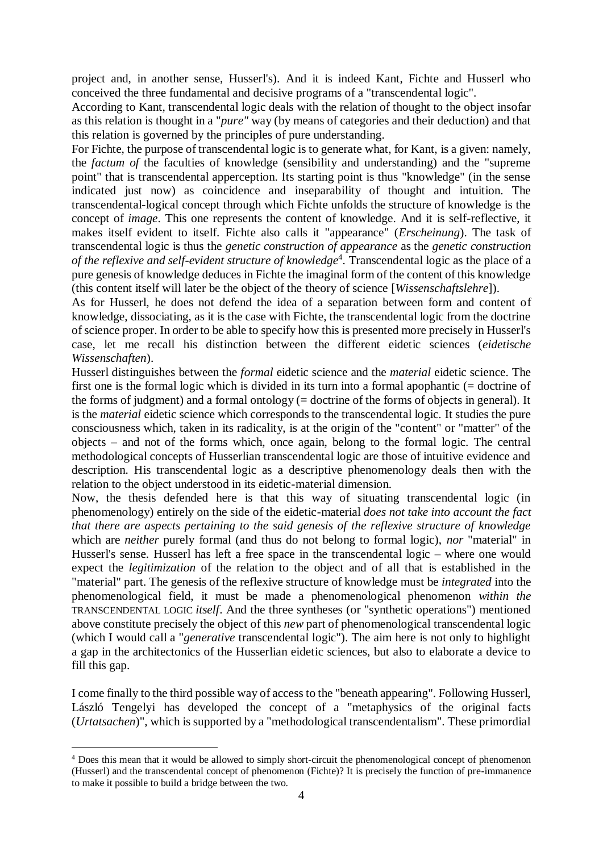project and, in another sense, Husserl's). And it is indeed Kant, Fichte and Husserl who conceived the three fundamental and decisive programs of a "transcendental logic".

According to Kant, transcendental logic deals with the relation of thought to the object insofar as this relation is thought in a "*pure"* way (by means of categories and their deduction) and that this relation is governed by the principles of pure understanding.

For Fichte, the purpose of transcendental logic is to generate what, for Kant, is a given: namely, the *factum of* the faculties of knowledge (sensibility and understanding) and the "supreme point" that is transcendental apperception. Its starting point is thus "knowledge" (in the sense indicated just now) as coincidence and inseparability of thought and intuition. The transcendental-logical concept through which Fichte unfolds the structure of knowledge is the concept of *image*. This one represents the content of knowledge. And it is self-reflective, it makes itself evident to itself. Fichte also calls it "appearance" (*Erscheinung*). The task of transcendental logic is thus the *genetic construction of appearance* as the *genetic construction*  of the reflexive and self-evident structure of knowledge<sup>4</sup>. Transcendental logic as the place of a pure genesis of knowledge deduces in Fichte the imaginal form of the content of this knowledge (this content itself will later be the object of the theory of science [*Wissenschaftslehre*]).

As for Husserl, he does not defend the idea of a separation between form and content of knowledge, dissociating, as it is the case with Fichte, the transcendental logic from the doctrine of science proper. In order to be able to specify how this is presented more precisely in Husserl's case, let me recall his distinction between the different eidetic sciences (*eidetische Wissenschaften*).

Husserl distinguishes between the *formal* eidetic science and the *material* eidetic science. The first one is the formal logic which is divided in its turn into a formal apophantic (= doctrine of the forms of judgment) and a formal ontology (= doctrine of the forms of objects in general). It is the *material* eidetic science which corresponds to the transcendental logic. It studies the pure consciousness which, taken in its radicality, is at the origin of the "content" or "matter" of the objects – and not of the forms which, once again, belong to the formal logic. The central methodological concepts of Husserlian transcendental logic are those of intuitive evidence and description. His transcendental logic as a descriptive phenomenology deals then with the relation to the object understood in its eidetic-material dimension.

Now, the thesis defended here is that this way of situating transcendental logic (in phenomenology) entirely on the side of the eidetic-material *does not take into account the fact that there are aspects pertaining to the said genesis of the reflexive structure of knowledge*  which are *neither* purely formal (and thus do not belong to formal logic), *nor* "material" in Husserl's sense. Husserl has left a free space in the transcendental logic – where one would expect the *legitimization* of the relation to the object and of all that is established in the "material" part. The genesis of the reflexive structure of knowledge must be *integrated* into the phenomenological field, it must be made a phenomenological phenomenon *within the*  TRANSCENDENTAL LOGIC *itself*. And the three syntheses (or "synthetic operations") mentioned above constitute precisely the object of this *new* part of phenomenological transcendental logic (which I would call a "*generative* transcendental logic"). The aim here is not only to highlight a gap in the architectonics of the Husserlian eidetic sciences, but also to elaborate a device to fill this gap.

I come finally to the third possible way of access to the "beneath appearing". Following Husserl, László Tengelyi has developed the concept of a "metaphysics of the original facts (*Urtatsachen*)", which is supported by a "methodological transcendentalism". These primordial

<u>.</u>

<sup>&</sup>lt;sup>4</sup> Does this mean that it would be allowed to simply short-circuit the phenomenological concept of phenomenon (Husserl) and the transcendental concept of phenomenon (Fichte)? It is precisely the function of pre-immanence to make it possible to build a bridge between the two.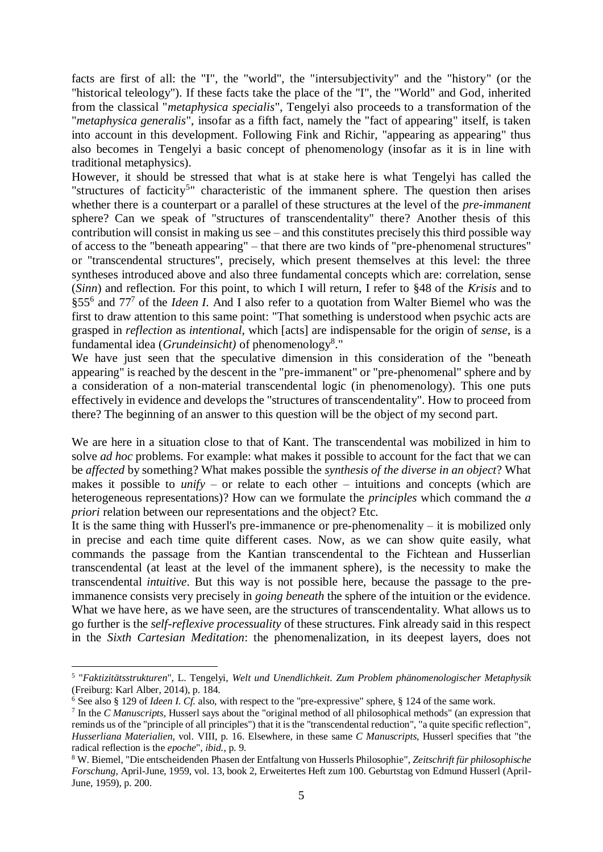facts are first of all: the "I", the "world", the "intersubjectivity" and the "history" (or the "historical teleology"). If these facts take the place of the "I", the "World" and God, inherited from the classical "*metaphysica specialis*", Tengelyi also proceeds to a transformation of the "*metaphysica generalis*", insofar as a fifth fact, namely the "fact of appearing" itself, is taken into account in this development. Following Fink and Richir, "appearing as appearing" thus also becomes in Tengelyi a basic concept of phenomenology (insofar as it is in line with traditional metaphysics).

However, it should be stressed that what is at stake here is what Tengelyi has called the "structures of facticity<sup>5</sup>" characteristic of the immanent sphere. The question then arises whether there is a counterpart or a parallel of these structures at the level of the *pre-immanent*  sphere? Can we speak of "structures of transcendentality" there? Another thesis of this contribution will consist in making us see – and this constitutes precisely this third possible way of access to the "beneath appearing" – that there are two kinds of "pre-phenomenal structures" or "transcendental structures", precisely, which present themselves at this level: the three syntheses introduced above and also three fundamental concepts which are: correlation, sense (*Sinn*) and reflection. For this point, to which I will return, I refer to §48 of the *Krisis* and to §55<sup>6</sup> and 77<sup>7</sup> of the *Ideen I*. And I also refer to a quotation from Walter Biemel who was the first to draw attention to this same point: "That something is understood when psychic acts are grasped in *reflection* as *intentional*, which [acts] are indispensable for the origin of *sense*, is a fundamental idea (*Grundeinsicht)* of phenomenology<sup>8</sup> ."

We have just seen that the speculative dimension in this consideration of the "beneath appearing" is reached by the descent in the "pre-immanent" or "pre-phenomenal" sphere and by a consideration of a non-material transcendental logic (in phenomenology). This one puts effectively in evidence and develops the "structures of transcendentality". How to proceed from there? The beginning of an answer to this question will be the object of my second part.

We are here in a situation close to that of Kant. The transcendental was mobilized in him to solve *ad hoc* problems. For example: what makes it possible to account for the fact that we can be *affected* by something? What makes possible the *synthesis of the diverse in an object*? What makes it possible to *unify* – or relate to each other – intuitions and concepts (which are heterogeneous representations)? How can we formulate the *principles* which command the *a priori* relation between our representations and the object? Etc.

It is the same thing with Husserl's pre-immanence or pre-phenomenality  $-$  it is mobilized only in precise and each time quite different cases. Now, as we can show quite easily, what commands the passage from the Kantian transcendental to the Fichtean and Husserlian transcendental (at least at the level of the immanent sphere), is the necessity to make the transcendental *intuitive*. But this way is not possible here, because the passage to the preimmanence consists very precisely in *going beneath* the sphere of the intuition or the evidence. What we have here, as we have seen, are the structures of transcendentality. What allows us to go further is the *self-reflexive processuality* of these structures. Fink already said in this respect in the *Sixth Cartesian Meditation*: the phenomenalization, in its deepest layers, does not

<sup>5</sup> "*Faktizitätsstrukturen*", L. Tengelyi, *Welt und Unendlichkeit*. *Zum Problem phänomenologischer Metaphysik*  (Freiburg: Karl Alber, 2014), p. 184.

<sup>6</sup> See also § 129 of *Ideen I*. *Cf.* also, with respect to the "pre-expressive" sphere, § 124 of the same work.

<sup>7</sup> In the *C Manuscripts*, Husserl says about the "original method of all philosophical methods" (an expression that reminds us of the "principle of all principles") that it is the "transcendental reduction", "a quite specific reflection", *Husserliana Materialien*, vol. VIII, p. 16. Elsewhere, in these same *C Manuscripts*, Husserl specifies that "the radical reflection is the *epoche*", *ibid.*, p. 9.

<sup>8</sup> W. Biemel, "Die entscheidenden Phasen der Entfaltung von Husserls Philosophie", *Zeitschrift für philosophische Forschung*, April-June, 1959, vol. 13, book 2, Erweitertes Heft zum 100. Geburtstag von Edmund Husserl (April-June, 1959), p. 200.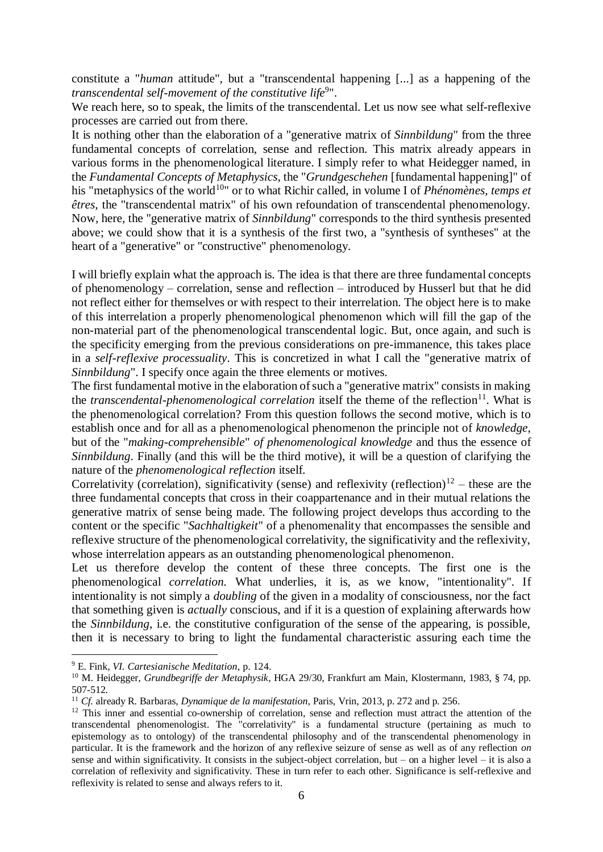constitute a "*human* attitude", but a "transcendental happening [...] as a happening of the *transcendental self-movement of the constitutive life*<sup>9</sup> ".

We reach here, so to speak, the limits of the transcendental. Let us now see what self-reflexive processes are carried out from there.

It is nothing other than the elaboration of a "generative matrix of *Sinnbildung*" from the three fundamental concepts of correlation, sense and reflection. This matrix already appears in various forms in the phenomenological literature. I simply refer to what Heidegger named, in the *Fundamental Concepts of Metaphysics*, the "*Grundgeschehen* [fundamental happening]" of his "metaphysics of the world<sup>10</sup>" or to what Richir called, in volume I of *Phénomènes*, *temps et êtres*, the "transcendental matrix" of his own refoundation of transcendental phenomenology. Now, here, the "generative matrix of *Sinnbildung*" corresponds to the third synthesis presented above; we could show that it is a synthesis of the first two, a "synthesis of syntheses" at the heart of a "generative" or "constructive" phenomenology.

I will briefly explain what the approach is. The idea is that there are three fundamental concepts of phenomenology – correlation, sense and reflection – introduced by Husserl but that he did not reflect either for themselves or with respect to their interrelation. The object here is to make of this interrelation a properly phenomenological phenomenon which will fill the gap of the non-material part of the phenomenological transcendental logic. But, once again, and such is the specificity emerging from the previous considerations on pre-immanence, this takes place in a *self-reflexive processuality*. This is concretized in what I call the "generative matrix of *Sinnbildung*". I specify once again the three elements or motives.

The first fundamental motive in the elaboration of such a "generative matrix" consists in making the *transcendental-phenomenological correlation* itself the theme of the reflection<sup>11</sup>. What is the phenomenological correlation? From this question follows the second motive, which is to establish once and for all as a phenomenological phenomenon the principle not of *knowledge*, but of the "*making-comprehensible*" *of phenomenological knowledge* and thus the essence of *Sinnbildung*. Finally (and this will be the third motive), it will be a question of clarifying the nature of the *phenomenological reflection* itself.

Correlativity (correlation), significativity (sense) and reflexivity (reflection)<sup>12</sup> – these are the three fundamental concepts that cross in their coappartenance and in their mutual relations the generative matrix of sense being made. The following project develops thus according to the content or the specific "*Sachhaltigkeit*" of a phenomenality that encompasses the sensible and reflexive structure of the phenomenological correlativity, the significativity and the reflexivity, whose interrelation appears as an outstanding phenomenological phenomenon.

Let us therefore develop the content of these three concepts. The first one is the phenomenological *correlation.* What underlies, it is, as we know, "intentionality". If intentionality is not simply a *doubling* of the given in a modality of consciousness, nor the fact that something given is *actually* conscious, and if it is a question of explaining afterwards how the *Sinnbildung*, i.e. the constitutive configuration of the sense of the appearing, is possible, then it is necessary to bring to light the fundamental characteristic assuring each time the

<sup>9</sup> E. Fink, *VI. Cartesianische Meditation*, p. 124.

<sup>10</sup> M. Heidegger, *Grundbegriffe der Metaphysik*, HGA 29/30, Frankfurt am Main, Klostermann, 1983, § 74, pp. 507-512.

<sup>11</sup> *Cf.* already R. Barbaras, *Dynamique de la manifestation*, Paris, Vrin, 2013, p. 272 and p. 256.

<sup>&</sup>lt;sup>12</sup> This inner and essential co-ownership of correlation, sense and reflection must attract the attention of the transcendental phenomenologist. The "correlativity" is a fundamental structure (pertaining as much to epistemology as to ontology) of the transcendental philosophy and of the transcendental phenomenology in particular. It is the framework and the horizon of any reflexive seizure of sense as well as of any reflection *on*  sense and within significativity. It consists in the subject-object correlation, but – on a higher level – it is also a correlation of reflexivity and significativity. These in turn refer to each other. Significance is self-reflexive and reflexivity is related to sense and always refers to it.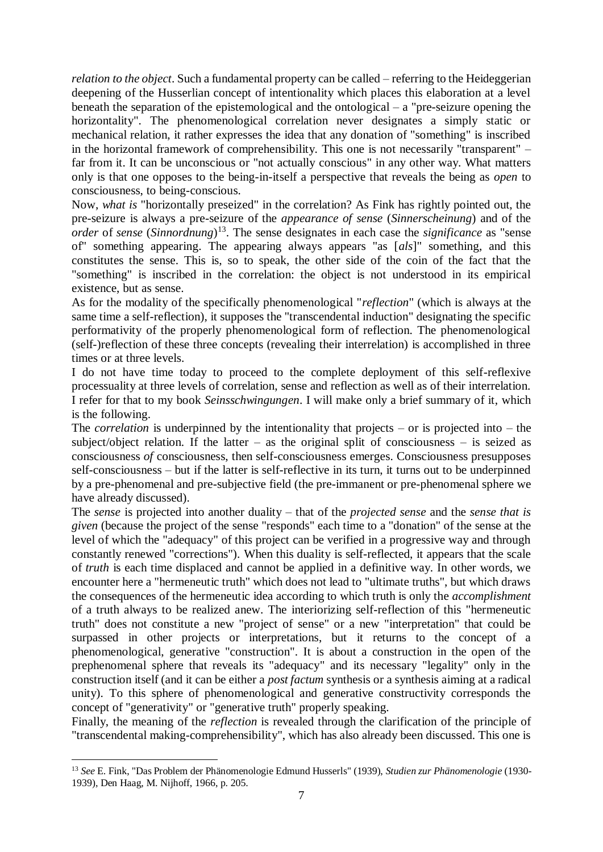*relation to the object*. Such a fundamental property can be called – referring to the Heideggerian deepening of the Husserlian concept of intentionality which places this elaboration at a level beneath the separation of the epistemological and the ontological – a "pre-seizure opening the horizontality". The phenomenological correlation never designates a simply static or mechanical relation, it rather expresses the idea that any donation of "something" is inscribed in the horizontal framework of comprehensibility. This one is not necessarily "transparent" – far from it. It can be unconscious or "not actually conscious" in any other way. What matters only is that one opposes to the being-in-itself a perspective that reveals the being as *open* to consciousness, to being-conscious.

Now, *what is* "horizontally preseized" in the correlation? As Fink has rightly pointed out, the pre-seizure is always a pre-seizure of the *appearance of sense* (*Sinnerscheinung*) and of the *order* of *sense* (*Sinnordnung*) <sup>13</sup>. The sense designates in each case the *significance* as "sense of" something appearing. The appearing always appears "as [*als*]" something, and this constitutes the sense. This is, so to speak, the other side of the coin of the fact that the "something" is inscribed in the correlation: the object is not understood in its empirical existence, but as sense.

As for the modality of the specifically phenomenological "*reflection*" (which is always at the same time a self-reflection), it supposes the "transcendental induction" designating the specific performativity of the properly phenomenological form of reflection. The phenomenological (self-)reflection of these three concepts (revealing their interrelation) is accomplished in three times or at three levels.

I do not have time today to proceed to the complete deployment of this self-reflexive processuality at three levels of correlation, sense and reflection as well as of their interrelation. I refer for that to my book *Seinsschwingungen*. I will make only a brief summary of it, which is the following.

The *correlation* is underpinned by the intentionality that projects – or is projected into – the subject/object relation. If the latter – as the original split of consciousness – is seized as consciousness *of* consciousness, then self-consciousness emerges. Consciousness presupposes self-consciousness – but if the latter is self-reflective in its turn, it turns out to be underpinned by a pre-phenomenal and pre-subjective field (the pre-immanent or pre-phenomenal sphere we have already discussed).

The *sense* is projected into another duality – that of the *projected sense* and the *sense that is given* (because the project of the sense "responds" each time to a "donation" of the sense at the level of which the "adequacy" of this project can be verified in a progressive way and through constantly renewed "corrections"). When this duality is self-reflected, it appears that the scale of *truth* is each time displaced and cannot be applied in a definitive way. In other words, we encounter here a "hermeneutic truth" which does not lead to "ultimate truths", but which draws the consequences of the hermeneutic idea according to which truth is only the *accomplishment*  of a truth always to be realized anew. The interiorizing self-reflection of this "hermeneutic truth" does not constitute a new "project of sense" or a new "interpretation" that could be surpassed in other projects or interpretations, but it returns to the concept of a phenomenological, generative "construction". It is about a construction in the open of the prephenomenal sphere that reveals its "adequacy" and its necessary "legality" only in the construction itself (and it can be either a *post factum* synthesis or a synthesis aiming at a radical unity). To this sphere of phenomenological and generative constructivity corresponds the concept of "generativity" or "generative truth" properly speaking.

Finally, the meaning of the *reflection* is revealed through the clarification of the principle of "transcendental making-comprehensibility", which has also already been discussed. This one is

<sup>13</sup> *See* E. Fink, "Das Problem der Phänomenologie Edmund Husserls" (1939), *Studien zur Phänomenologie* (1930- 1939), Den Haag, M. Nijhoff, 1966, p. 205.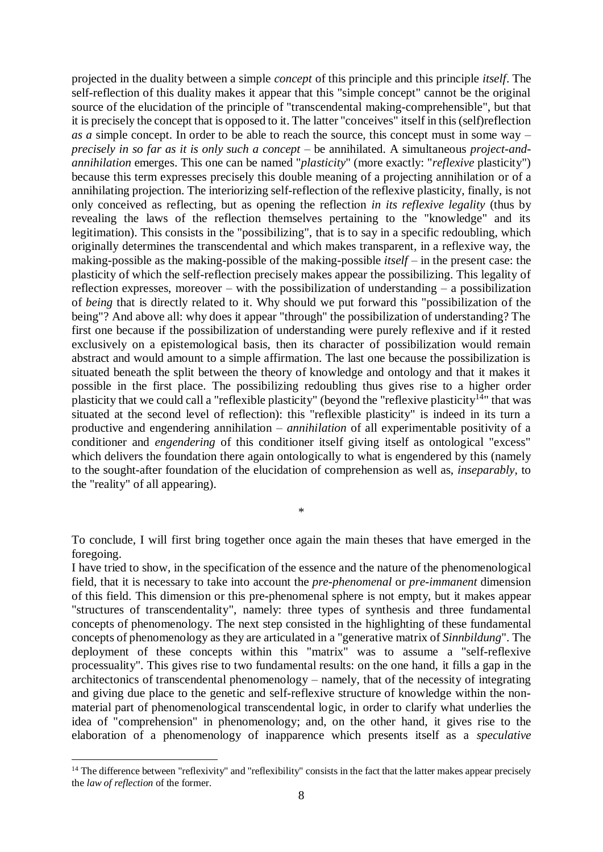projected in the duality between a simple *concept* of this principle and this principle *itself*. The self-reflection of this duality makes it appear that this "simple concept" cannot be the original source of the elucidation of the principle of "transcendental making-comprehensible", but that it is precisely the concept that is opposed to it. The latter "conceives" itself in this (self)reflection *as a* simple concept. In order to be able to reach the source, this concept must in some way – *precisely in so far as it is only such a concept* – be annihilated. A simultaneous *project-andannihilation* emerges. This one can be named "*plasticity*" (more exactly: "*reflexive* plasticity") because this term expresses precisely this double meaning of a projecting annihilation or of a annihilating projection. The interiorizing self-reflection of the reflexive plasticity, finally, is not only conceived as reflecting, but as opening the reflection *in its reflexive legality* (thus by revealing the laws of the reflection themselves pertaining to the "knowledge" and its legitimation). This consists in the "possibilizing", that is to say in a specific redoubling, which originally determines the transcendental and which makes transparent, in a reflexive way, the making-possible as the making-possible of the making-possible *itself* – in the present case: the plasticity of which the self-reflection precisely makes appear the possibilizing. This legality of reflection expresses, moreover – with the possibilization of understanding – a possibilization of *being* that is directly related to it. Why should we put forward this "possibilization of the being"? And above all: why does it appear "through" the possibilization of understanding? The first one because if the possibilization of understanding were purely reflexive and if it rested exclusively on a epistemological basis, then its character of possibilization would remain abstract and would amount to a simple affirmation. The last one because the possibilization is situated beneath the split between the theory of knowledge and ontology and that it makes it possible in the first place. The possibilizing redoubling thus gives rise to a higher order plasticity that we could call a "reflexible plasticity" (beyond the "reflexive plasticity<sup>14</sup>" that was situated at the second level of reflection): this "reflexible plasticity" is indeed in its turn a productive and engendering annihilation – *annihilation* of all experimentable positivity of a conditioner and *engendering* of this conditioner itself giving itself as ontological "excess" which delivers the foundation there again ontologically to what is engendered by this (namely to the sought-after foundation of the elucidation of comprehension as well as, *inseparably*, to the "reality" of all appearing).

To conclude, I will first bring together once again the main theses that have emerged in the foregoing.

\*

I have tried to show, in the specification of the essence and the nature of the phenomenological field, that it is necessary to take into account the *pre-phenomenal* or *pre-immanent* dimension of this field. This dimension or this pre-phenomenal sphere is not empty, but it makes appear "structures of transcendentality", namely: three types of synthesis and three fundamental concepts of phenomenology. The next step consisted in the highlighting of these fundamental concepts of phenomenology as they are articulated in a "generative matrix of *Sinnbildung*". The deployment of these concepts within this "matrix" was to assume a "self-reflexive processuality". This gives rise to two fundamental results: on the one hand, it fills a gap in the architectonics of transcendental phenomenology – namely, that of the necessity of integrating and giving due place to the genetic and self-reflexive structure of knowledge within the nonmaterial part of phenomenological transcendental logic, in order to clarify what underlies the idea of "comprehension" in phenomenology; and, on the other hand, it gives rise to the elaboration of a phenomenology of inapparence which presents itself as a *speculative* 

<sup>&</sup>lt;sup>14</sup> The difference between "reflexivity" and "reflexibility" consists in the fact that the latter makes appear precisely the *law of reflection* of the former.